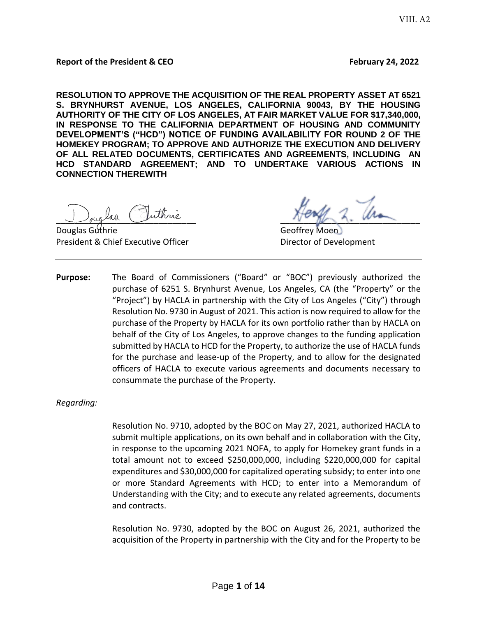**RESOLUTION TO APPROVE THE ACQUISITION OF THE REAL PROPERTY ASSET AT 6521 S. BRYNHURST AVENUE, LOS ANGELES, CALIFORNIA 90043, BY THE HOUSING AUTHORITY OF THE CITY OF LOS ANGELES, AT FAIR MARKET VALUE FOR \$17,340,000, IN RESPONSE TO THE CALIFORNIA DEPARTMENT OF HOUSING AND COMMUNITY DEVELOPMENT'S ("HCD") NOTICE OF FUNDING AVAILABILITY FOR ROUND 2 OF THE HOMEKEY PROGRAM; TO APPROVE AND AUTHORIZE THE EXECUTION AND DELIVERY OF ALL RELATED DOCUMENTS, CERTIFICATES AND AGREEMENTS, INCLUDING AN HCD STANDARD AGREEMENT; AND TO UNDERTAKE VARIOUS ACTIONS IN CONNECTION THEREWITH** 

**Douglas Guthrie Community Community Community Community Community Community Community Community Community Community** President & Chief Executive Officer **Director of Development** 

Juglio Guinne Vinne

**Purpose:** The Board of Commissioners ("Board" or "BOC") previously authorized the purchase of 6251 S. Brynhurst Avenue, Los Angeles, CA (the "Property" or the "Project") by HACLA in partnership with the City of Los Angeles ("City") through Resolution No. 9730 in August of 2021. This action is now required to allow for the purchase of the Property by HACLA for its own portfolio rather than by HACLA on behalf of the City of Los Angeles, to approve changes to the funding application submitted by HACLA to HCD for the Property, to authorize the use of HACLA funds for the purchase and lease-up of the Property, and to allow for the designated officers of HACLA to execute various agreements and documents necessary to consummate the purchase of the Property.

*Regarding:*

Resolution No. 9710, adopted by the BOC on May 27, 2021, authorized HACLA to submit multiple applications, on its own behalf and in collaboration with the City, in response to the upcoming 2021 NOFA, to apply for Homekey grant funds in a total amount not to exceed \$250,000,000, including \$220,000,000 for capital expenditures and \$30,000,000 for capitalized operating subsidy; to enter into one or more Standard Agreements with HCD; to enter into a Memorandum of Understanding with the City; and to execute any related agreements, documents and contracts.

Resolution No. 9730, adopted by the BOC on August 26, 2021, authorized the acquisition of the Property in partnership with the City and for the Property to be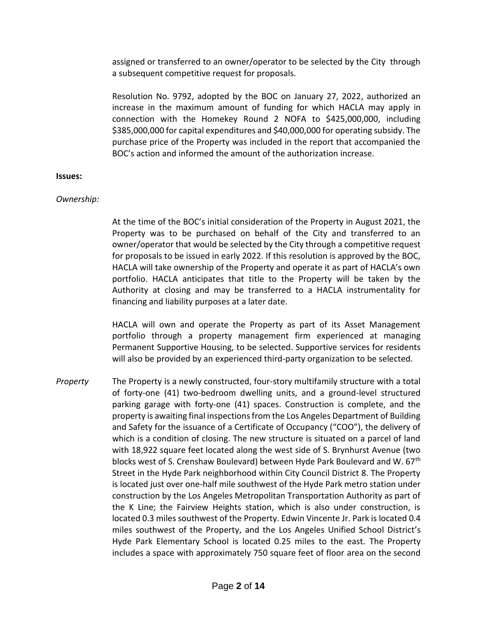assigned or transferred to an owner/operator to be selected by the City through a subsequent competitive request for proposals.

Resolution No. 9792, adopted by the BOC on January 27, 2022, authorized an increase in the maximum amount of funding for which HACLA may apply in connection with the Homekey Round 2 NOFA to \$425,000,000, including \$385,000,000 for capital expenditures and \$40,000,000 for operating subsidy. The purchase price of the Property was included in the report that accompanied the BOC's action and informed the amount of the authorization increase.

#### **Issues:**

#### *Ownership:*

At the time of the BOC's initial consideration of the Property in August 2021, the Property was to be purchased on behalf of the City and transferred to an owner/operator that would be selected by the City through a competitive request for proposals to be issued in early 2022. If this resolution is approved by the BOC, HACLA will take ownership of the Property and operate it as part of HACLA's own portfolio. HACLA anticipates that title to the Property will be taken by the Authority at closing and may be transferred to a HACLA instrumentality for financing and liability purposes at a later date.

HACLA will own and operate the Property as part of its Asset Management portfolio through a property management firm experienced at managing Permanent Supportive Housing, to be selected. Supportive services for residents will also be provided by an experienced third-party organization to be selected.

*Property* The Property is a newly constructed, four-story multifamily structure with a total of forty-one (41) two-bedroom dwelling units, and a ground-level structured parking garage with forty-one (41) spaces. Construction is complete, and the property is awaiting final inspections from the Los Angeles Department of Building and Safety for the issuance of a Certificate of Occupancy ("COO"), the delivery of which is a condition of closing. The new structure is situated on a parcel of land with 18,922 square feet located along the west side of S. Brynhurst Avenue (two blocks west of S. Crenshaw Boulevard) between Hyde Park Boulevard and W. 67<sup>th</sup> Street in the Hyde Park neighborhood within City Council District 8. The Property is located just over one-half mile southwest of the Hyde Park metro station under construction by the Los Angeles Metropolitan Transportation Authority as part of the K Line; the Fairview Heights station, which is also under construction, is located 0.3 miles southwest of the Property. Edwin Vincente Jr. Park is located 0.4 miles southwest of the Property, and the Los Angeles Unified School District's Hyde Park Elementary School is located 0.25 miles to the east. The Property includes a space with approximately 750 square feet of floor area on the second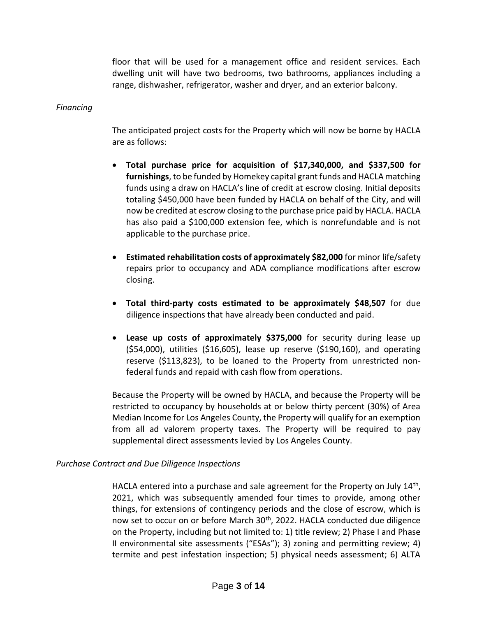floor that will be used for a management office and resident services. Each dwelling unit will have two bedrooms, two bathrooms, appliances including a range, dishwasher, refrigerator, washer and dryer, and an exterior balcony.

### *Financing*

The anticipated project costs for the Property which will now be borne by HACLA are as follows:

- **Total purchase price for acquisition of \$17,340,000, and \$337,500 for furnishings**, to be funded by Homekey capital grant funds and HACLA matching funds using a draw on HACLA's line of credit at escrow closing. Initial deposits totaling \$450,000 have been funded by HACLA on behalf of the City, and will now be credited at escrow closing to the purchase price paid by HACLA. HACLA has also paid a \$100,000 extension fee, which is nonrefundable and is not applicable to the purchase price.
- **Estimated rehabilitation costs of approximately \$82,000** for minor life/safety repairs prior to occupancy and ADA compliance modifications after escrow closing.
- **Total third-party costs estimated to be approximately \$48,507** for due diligence inspections that have already been conducted and paid.
- **Lease up costs of approximately \$375,000** for security during lease up (\$54,000), utilities (\$16,605), lease up reserve (\$190,160), and operating reserve (\$113,823), to be loaned to the Property from unrestricted nonfederal funds and repaid with cash flow from operations.

Because the Property will be owned by HACLA, and because the Property will be restricted to occupancy by households at or below thirty percent (30%) of Area Median Income for Los Angeles County, the Property will qualify for an exemption from all ad valorem property taxes. The Property will be required to pay supplemental direct assessments levied by Los Angeles County.

### *Purchase Contract and Due Diligence Inspections*

HACLA entered into a purchase and sale agreement for the Property on July  $14<sup>th</sup>$ , 2021, which was subsequently amended four times to provide, among other things, for extensions of contingency periods and the close of escrow, which is now set to occur on or before March 30<sup>th</sup>, 2022. HACLA conducted due diligence on the Property, including but not limited to: 1) title review; 2) Phase I and Phase II environmental site assessments ("ESAs"); 3) zoning and permitting review; 4) termite and pest infestation inspection; 5) physical needs assessment; 6) ALTA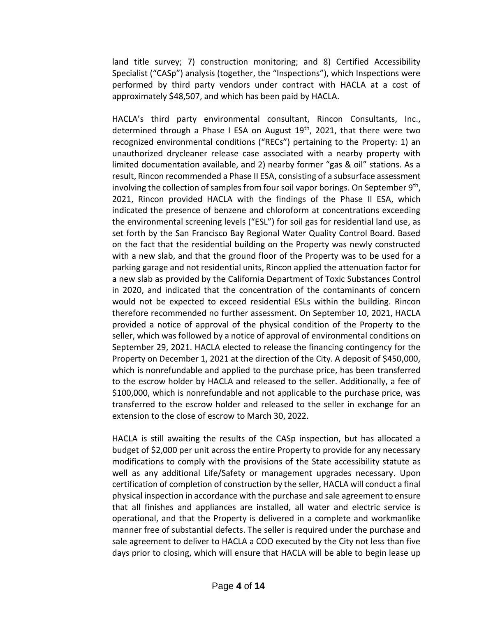land title survey; 7) construction monitoring; and 8) Certified Accessibility Specialist ("CASp") analysis (together, the "Inspections"), which Inspections were performed by third party vendors under contract with HACLA at a cost of approximately \$48,507, and which has been paid by HACLA.

HACLA's third party environmental consultant, Rincon Consultants, Inc., determined through a Phase I ESA on August  $19<sup>th</sup>$ , 2021, that there were two recognized environmental conditions ("RECs") pertaining to the Property: 1) an unauthorized drycleaner release case associated with a nearby property with limited documentation available, and 2) nearby former "gas & oil" stations. As a result, Rincon recommended a Phase II ESA, consisting of a subsurface assessment involving the collection of samples from four soil vapor borings. On September 9<sup>th</sup>, 2021, Rincon provided HACLA with the findings of the Phase II ESA, which indicated the presence of benzene and chloroform at concentrations exceeding the environmental screening levels ("ESL") for soil gas for residential land use, as set forth by the San Francisco Bay Regional Water Quality Control Board. Based on the fact that the residential building on the Property was newly constructed with a new slab, and that the ground floor of the Property was to be used for a parking garage and not residential units, Rincon applied the attenuation factor for a new slab as provided by the California Department of Toxic Substances Control in 2020, and indicated that the concentration of the contaminants of concern would not be expected to exceed residential ESLs within the building. Rincon therefore recommended no further assessment. On September 10, 2021, HACLA provided a notice of approval of the physical condition of the Property to the seller, which was followed by a notice of approval of environmental conditions on September 29, 2021. HACLA elected to release the financing contingency for the Property on December 1, 2021 at the direction of the City. A deposit of \$450,000, which is nonrefundable and applied to the purchase price, has been transferred to the escrow holder by HACLA and released to the seller. Additionally, a fee of \$100,000, which is nonrefundable and not applicable to the purchase price, was transferred to the escrow holder and released to the seller in exchange for an extension to the close of escrow to March 30, 2022.

HACLA is still awaiting the results of the CASp inspection, but has allocated a budget of \$2,000 per unit across the entire Property to provide for any necessary modifications to comply with the provisions of the State accessibility statute as well as any additional Life/Safety or management upgrades necessary. Upon certification of completion of construction by the seller, HACLA will conduct a final physical inspection in accordance with the purchase and sale agreement to ensure that all finishes and appliances are installed, all water and electric service is operational, and that the Property is delivered in a complete and workmanlike manner free of substantial defects. The seller is required under the purchase and sale agreement to deliver to HACLA a COO executed by the City not less than five days prior to closing, which will ensure that HACLA will be able to begin lease up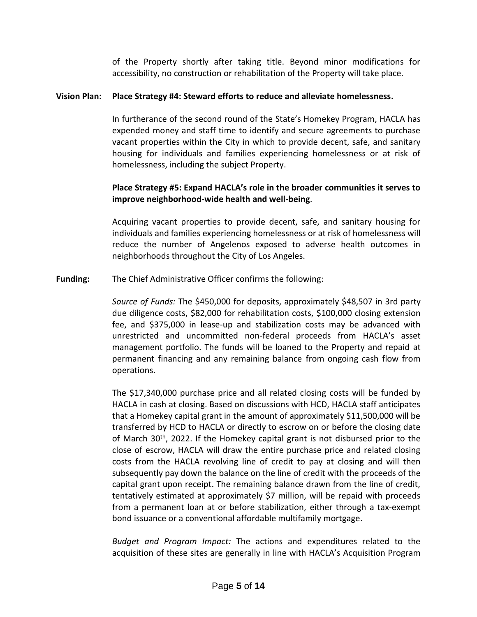of the Property shortly after taking title. Beyond minor modifications for accessibility, no construction or rehabilitation of the Property will take place.

### **Vision Plan: Place Strategy #4: Steward efforts to reduce and alleviate homelessness.**

In furtherance of the second round of the State's Homekey Program, HACLA has expended money and staff time to identify and secure agreements to purchase vacant properties within the City in which to provide decent, safe, and sanitary housing for individuals and families experiencing homelessness or at risk of homelessness, including the subject Property.

### **Place Strategy #5: Expand HACLA's role in the broader communities it serves to improve neighborhood-wide health and well-being**.

Acquiring vacant properties to provide decent, safe, and sanitary housing for individuals and families experiencing homelessness or at risk of homelessness will reduce the number of Angelenos exposed to adverse health outcomes in neighborhoods throughout the City of Los Angeles.

**Funding:** The Chief Administrative Officer confirms the following:

*Source of Funds:* The \$450,000 for deposits, approximately \$48,507 in 3rd party due diligence costs, \$82,000 for rehabilitation costs, \$100,000 closing extension fee, and \$375,000 in lease-up and stabilization costs may be advanced with unrestricted and uncommitted non-federal proceeds from HACLA's asset management portfolio. The funds will be loaned to the Property and repaid at permanent financing and any remaining balance from ongoing cash flow from operations.

The \$17,340,000 purchase price and all related closing costs will be funded by HACLA in cash at closing. Based on discussions with HCD, HACLA staff anticipates that a Homekey capital grant in the amount of approximately \$11,500,000 will be transferred by HCD to HACLA or directly to escrow on or before the closing date of March 30th, 2022. If the Homekey capital grant is not disbursed prior to the close of escrow, HACLA will draw the entire purchase price and related closing costs from the HACLA revolving line of credit to pay at closing and will then subsequently pay down the balance on the line of credit with the proceeds of the capital grant upon receipt. The remaining balance drawn from the line of credit, tentatively estimated at approximately \$7 million, will be repaid with proceeds from a permanent loan at or before stabilization, either through a tax-exempt bond issuance or a conventional affordable multifamily mortgage.

*Budget and Program Impact:* The actions and expenditures related to the acquisition of these sites are generally in line with HACLA's Acquisition Program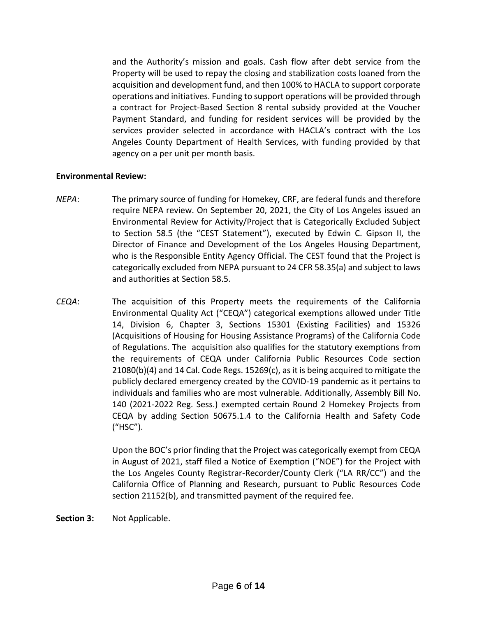and the Authority's mission and goals. Cash flow after debt service from the Property will be used to repay the closing and stabilization costs loaned from the acquisition and development fund, and then 100% to HACLA to support corporate operations and initiatives. Funding to support operations will be provided through a contract for Project-Based Section 8 rental subsidy provided at the Voucher Payment Standard, and funding for resident services will be provided by the services provider selected in accordance with HACLA's contract with the Los Angeles County Department of Health Services, with funding provided by that agency on a per unit per month basis.

### **Environmental Review:**

- *NEPA*: The primary source of funding for Homekey, CRF, are federal funds and therefore require NEPA review. On September 20, 2021, the City of Los Angeles issued an Environmental Review for Activity/Project that is Categorically Excluded Subject to Section 58.5 (the "CEST Statement"), executed by Edwin C. Gipson II, the Director of Finance and Development of the Los Angeles Housing Department, who is the Responsible Entity Agency Official. The CEST found that the Project is categorically excluded from NEPA pursuant to 24 CFR 58.35(a) and subject to laws and authorities at Section 58.5.
- *CEQA*: The acquisition of this Property meets the requirements of the California Environmental Quality Act ("CEQA") categorical exemptions allowed under Title 14, Division 6, Chapter 3, Sections 15301 (Existing Facilities) and 15326 (Acquisitions of Housing for Housing Assistance Programs) of the California Code of Regulations. The acquisition also qualifies for the statutory exemptions from the requirements of CEQA under California Public Resources Code section 21080(b)(4) and 14 Cal. Code Regs. 15269(c), as it is being acquired to mitigate the publicly declared emergency created by the COVID-19 pandemic as it pertains to individuals and families who are most vulnerable. Additionally, Assembly Bill No. 140 (2021-2022 Reg. Sess.) exempted certain Round 2 Homekey Projects from CEQA by adding Section 50675.1.4 to the California Health and Safety Code ("HSC").

Upon the BOC's prior finding that the Project was categorically exempt from CEQA in August of 2021, staff filed a Notice of Exemption ("NOE") for the Project with the Los Angeles County Registrar-Recorder/County Clerk ("LA RR/CC") and the California Office of Planning and Research, pursuant to Public Resources Code section 21152(b), and transmitted payment of the required fee.

**Section 3:** Not Applicable.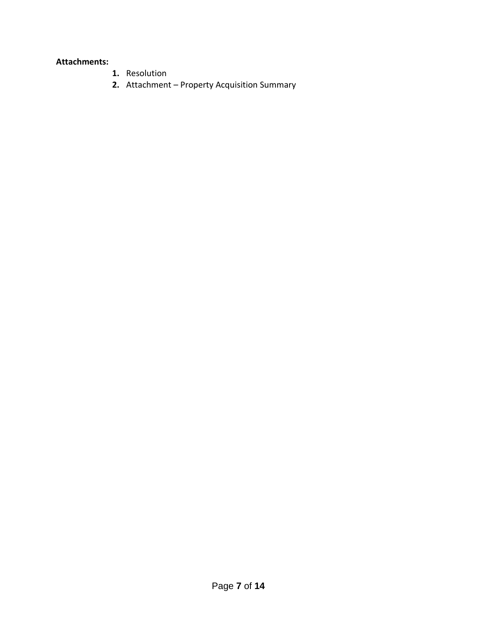### **Attachments:**

- **1.** Resolution
- **2.** Attachment Property Acquisition Summary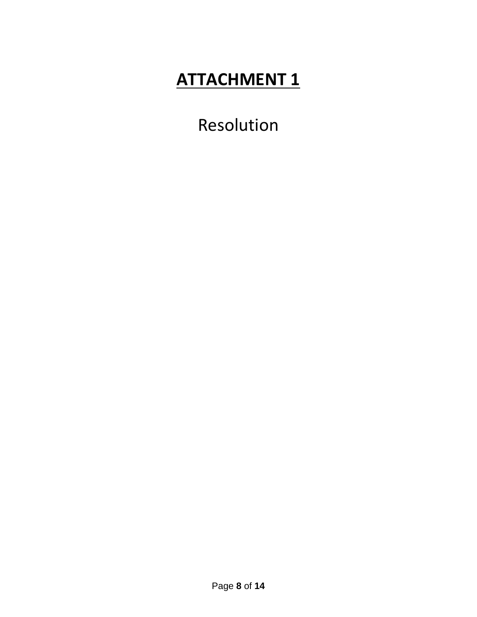# **ATTACHMENT 1**

Resolution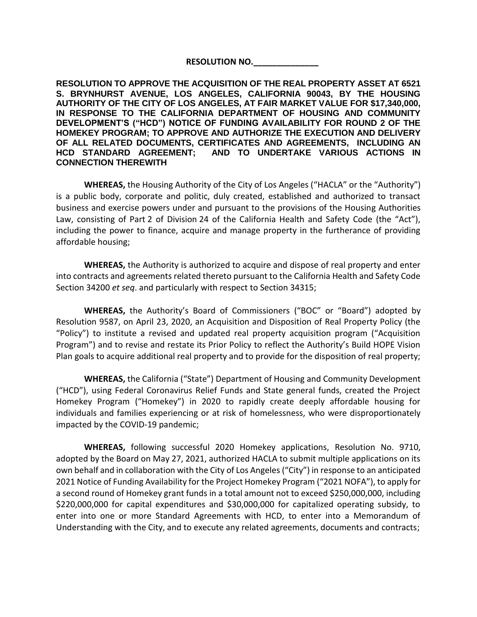### **RESOLUTION NO.\_\_\_\_\_\_\_\_\_\_\_\_\_\_**

**RESOLUTION TO APPROVE THE ACQUISITION OF THE REAL PROPERTY ASSET AT 6521 S. BRYNHURST AVENUE, LOS ANGELES, CALIFORNIA 90043, BY THE HOUSING AUTHORITY OF THE CITY OF LOS ANGELES, AT FAIR MARKET VALUE FOR \$17,340,000, IN RESPONSE TO THE CALIFORNIA DEPARTMENT OF HOUSING AND COMMUNITY DEVELOPMENT'S ("HCD") NOTICE OF FUNDING AVAILABILITY FOR ROUND 2 OF THE HOMEKEY PROGRAM; TO APPROVE AND AUTHORIZE THE EXECUTION AND DELIVERY OF ALL RELATED DOCUMENTS, CERTIFICATES AND AGREEMENTS, INCLUDING AN HCD STANDARD AGREEMENT; AND TO UNDERTAKE VARIOUS ACTIONS IN CONNECTION THEREWITH**

**WHEREAS,** the Housing Authority of the City of Los Angeles ("HACLA" or the "Authority") is a public body, corporate and politic, duly created, established and authorized to transact business and exercise powers under and pursuant to the provisions of the Housing Authorities Law, consisting of Part 2 of Division 24 of the California Health and Safety Code (the "Act"), including the power to finance, acquire and manage property in the furtherance of providing affordable housing;

**WHEREAS,** the Authority is authorized to acquire and dispose of real property and enter into contracts and agreements related thereto pursuant to the California Health and Safety Code Section 34200 *et seq*. and particularly with respect to Section 34315;

**WHEREAS,** the Authority's Board of Commissioners ("BOC" or "Board") adopted by Resolution 9587, on April 23, 2020, an Acquisition and Disposition of Real Property Policy (the "Policy") to institute a revised and updated real property acquisition program ("Acquisition Program") and to revise and restate its Prior Policy to reflect the Authority's Build HOPE Vision Plan goals to acquire additional real property and to provide for the disposition of real property;

**WHEREAS,** the California ("State") Department of Housing and Community Development ("HCD"), using Federal Coronavirus Relief Funds and State general funds, created the Project Homekey Program ("Homekey") in 2020 to rapidly create deeply affordable housing for individuals and families experiencing or at risk of homelessness, who were disproportionately impacted by the COVID-19 pandemic;

**WHEREAS,** following successful 2020 Homekey applications, Resolution No. 9710, adopted by the Board on May 27, 2021, authorized HACLA to submit multiple applications on its own behalf and in collaboration with the City of Los Angeles ("City") in response to an anticipated 2021 Notice of Funding Availability for the Project Homekey Program ("2021 NOFA"), to apply for a second round of Homekey grant funds in a total amount not to exceed \$250,000,000, including \$220,000,000 for capital expenditures and \$30,000,000 for capitalized operating subsidy, to enter into one or more Standard Agreements with HCD, to enter into a Memorandum of Understanding with the City, and to execute any related agreements, documents and contracts;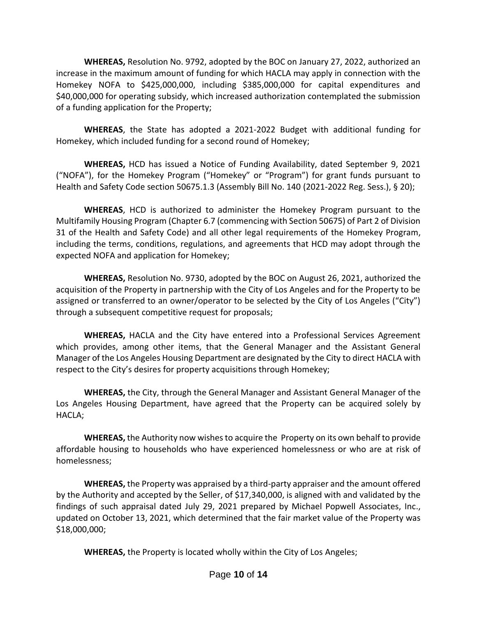**WHEREAS,** Resolution No. 9792, adopted by the BOC on January 27, 2022, authorized an increase in the maximum amount of funding for which HACLA may apply in connection with the Homekey NOFA to \$425,000,000, including \$385,000,000 for capital expenditures and \$40,000,000 for operating subsidy, which increased authorization contemplated the submission of a funding application for the Property;

**WHEREAS**, the State has adopted a 2021-2022 Budget with additional funding for Homekey, which included funding for a second round of Homekey;

**WHEREAS,** HCD has issued a Notice of Funding Availability, dated September 9, 2021 ("NOFA"), for the Homekey Program ("Homekey" or "Program") for grant funds pursuant to Health and Safety Code section 50675.1.3 (Assembly Bill No. 140 (2021-2022 Reg. Sess.), § 20);

**WHEREAS**, HCD is authorized to administer the Homekey Program pursuant to the Multifamily Housing Program (Chapter 6.7 (commencing with Section 50675) of Part 2 of Division 31 of the Health and Safety Code) and all other legal requirements of the Homekey Program, including the terms, conditions, regulations, and agreements that HCD may adopt through the expected NOFA and application for Homekey;

**WHEREAS,** Resolution No. 9730, adopted by the BOC on August 26, 2021, authorized the acquisition of the Property in partnership with the City of Los Angeles and for the Property to be assigned or transferred to an owner/operator to be selected by the City of Los Angeles ("City") through a subsequent competitive request for proposals;

**WHEREAS,** HACLA and the City have entered into a Professional Services Agreement which provides, among other items, that the General Manager and the Assistant General Manager of the Los Angeles Housing Department are designated by the City to direct HACLA with respect to the City's desires for property acquisitions through Homekey;

**WHEREAS,** the City, through the General Manager and Assistant General Manager of the Los Angeles Housing Department, have agreed that the Property can be acquired solely by HACLA;

**WHEREAS,** the Authority now wishes to acquire the Property on its own behalf to provide affordable housing to households who have experienced homelessness or who are at risk of homelessness;

**WHEREAS,** the Property was appraised by a third-party appraiser and the amount offered by the Authority and accepted by the Seller, of \$17,340,000, is aligned with and validated by the findings of such appraisal dated July 29, 2021 prepared by Michael Popwell Associates, Inc., updated on October 13, 2021, which determined that the fair market value of the Property was \$18,000,000;

**WHEREAS,** the Property is located wholly within the City of Los Angeles;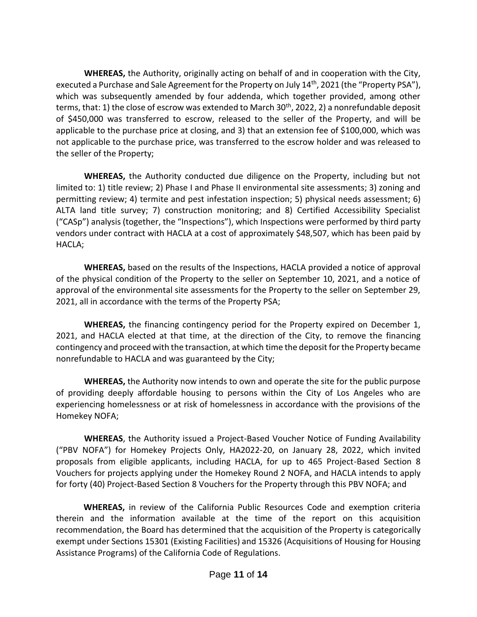**WHEREAS,** the Authority, originally acting on behalf of and in cooperation with the City, executed a Purchase and Sale Agreement for the Property on July 14<sup>th</sup>, 2021 (the "Property PSA"), which was subsequently amended by four addenda, which together provided, among other terms, that: 1) the close of escrow was extended to March 30<sup>th</sup>, 2022, 2) a nonrefundable deposit of \$450,000 was transferred to escrow, released to the seller of the Property, and will be applicable to the purchase price at closing, and 3) that an extension fee of \$100,000, which was not applicable to the purchase price, was transferred to the escrow holder and was released to the seller of the Property;

**WHEREAS,** the Authority conducted due diligence on the Property, including but not limited to: 1) title review; 2) Phase I and Phase II environmental site assessments; 3) zoning and permitting review; 4) termite and pest infestation inspection; 5) physical needs assessment; 6) ALTA land title survey; 7) construction monitoring; and 8) Certified Accessibility Specialist ("CASp") analysis (together, the "Inspections"), which Inspections were performed by third party vendors under contract with HACLA at a cost of approximately \$48,507, which has been paid by HACLA;

**WHEREAS,** based on the results of the Inspections, HACLA provided a notice of approval of the physical condition of the Property to the seller on September 10, 2021, and a notice of approval of the environmental site assessments for the Property to the seller on September 29, 2021, all in accordance with the terms of the Property PSA;

**WHEREAS,** the financing contingency period for the Property expired on December 1, 2021, and HACLA elected at that time, at the direction of the City, to remove the financing contingency and proceed with the transaction, at which time the deposit for the Property became nonrefundable to HACLA and was guaranteed by the City;

**WHEREAS,** the Authority now intends to own and operate the site for the public purpose of providing deeply affordable housing to persons within the City of Los Angeles who are experiencing homelessness or at risk of homelessness in accordance with the provisions of the Homekey NOFA;

**WHEREAS**, the Authority issued a Project-Based Voucher Notice of Funding Availability ("PBV NOFA") for Homekey Projects Only, HA2022-20, on January 28, 2022, which invited proposals from eligible applicants, including HACLA, for up to 465 Project-Based Section 8 Vouchers for projects applying under the Homekey Round 2 NOFA, and HACLA intends to apply for forty (40) Project-Based Section 8 Vouchers for the Property through this PBV NOFA; and

 **WHEREAS,** in review of the California Public Resources Code and exemption criteria therein and the information available at the time of the report on this acquisition recommendation, the Board has determined that the acquisition of the Property is categorically exempt under Sections 15301 (Existing Facilities) and 15326 (Acquisitions of Housing for Housing Assistance Programs) of the California Code of Regulations.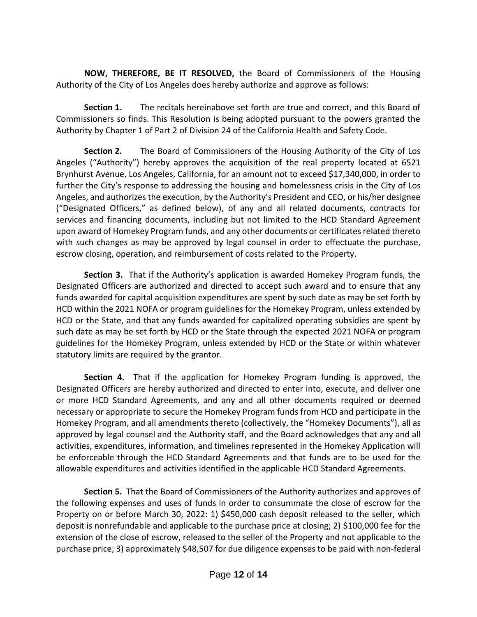**NOW, THEREFORE, BE IT RESOLVED,** the Board of Commissioners of the Housing Authority of the City of Los Angeles does hereby authorize and approve as follows:

**Section 1.** The recitals hereinabove set forth are true and correct, and this Board of Commissioners so finds. This Resolution is being adopted pursuant to the powers granted the Authority by Chapter 1 of Part 2 of Division 24 of the California Health and Safety Code.

**Section 2.** The Board of Commissioners of the Housing Authority of the City of Los Angeles ("Authority") hereby approves the acquisition of the real property located at 6521 Brynhurst Avenue, Los Angeles, California, for an amount not to exceed \$17,340,000, in order to further the City's response to addressing the housing and homelessness crisis in the City of Los Angeles, and authorizes the execution, by the Authority's President and CEO, or his/her designee ("Designated Officers," as defined below), of any and all related documents, contracts for services and financing documents, including but not limited to the HCD Standard Agreement upon award of Homekey Program funds, and any other documents or certificates related thereto with such changes as may be approved by legal counsel in order to effectuate the purchase, escrow closing, operation, and reimbursement of costs related to the Property.

**Section 3.** That if the Authority's application is awarded Homekey Program funds, the Designated Officers are authorized and directed to accept such award and to ensure that any funds awarded for capital acquisition expenditures are spent by such date as may be set forth by HCD within the 2021 NOFA or program guidelines for the Homekey Program, unless extended by HCD or the State, and that any funds awarded for capitalized operating subsidies are spent by such date as may be set forth by HCD or the State through the expected 2021 NOFA or program guidelines for the Homekey Program, unless extended by HCD or the State or within whatever statutory limits are required by the grantor.

**Section 4.** That if the application for Homekey Program funding is approved, the Designated Officers are hereby authorized and directed to enter into, execute, and deliver one or more HCD Standard Agreements, and any and all other documents required or deemed necessary or appropriate to secure the Homekey Program funds from HCD and participate in the Homekey Program, and all amendments thereto (collectively, the "Homekey Documents"), all as approved by legal counsel and the Authority staff, and the Board acknowledges that any and all activities, expenditures, information, and timelines represented in the Homekey Application will be enforceable through the HCD Standard Agreements and that funds are to be used for the allowable expenditures and activities identified in the applicable HCD Standard Agreements.

**Section 5.** That the Board of Commissioners of the Authority authorizes and approves of the following expenses and uses of funds in order to consummate the close of escrow for the Property on or before March 30, 2022: 1) \$450,000 cash deposit released to the seller, which deposit is nonrefundable and applicable to the purchase price at closing; 2) \$100,000 fee for the extension of the close of escrow, released to the seller of the Property and not applicable to the purchase price; 3) approximately \$48,507 for due diligence expenses to be paid with non-federal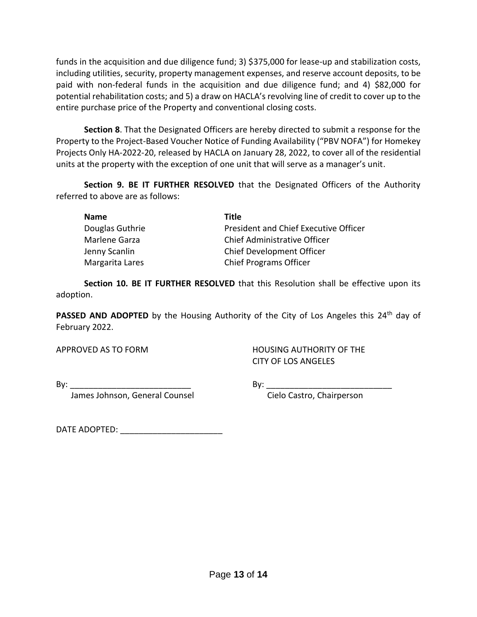funds in the acquisition and due diligence fund; 3) \$375,000 for lease-up and stabilization costs, including utilities, security, property management expenses, and reserve account deposits, to be paid with non-federal funds in the acquisition and due diligence fund; and 4) \$82,000 for potential rehabilitation costs; and 5) a draw on HACLA's revolving line of credit to cover up to the entire purchase price of the Property and conventional closing costs.

**Section 8**. That the Designated Officers are hereby directed to submit a response for the Property to the Project-Based Voucher Notice of Funding Availability ("PBV NOFA") for Homekey Projects Only HA-2022-20, released by HACLA on January 28, 2022, to cover all of the residential units at the property with the exception of one unit that will serve as a manager's unit.

**Section 9. BE IT FURTHER RESOLVED** that the Designated Officers of the Authority referred to above are as follows:

| Name            | Title                                 |
|-----------------|---------------------------------------|
| Douglas Guthrie | President and Chief Executive Officer |
| Marlene Garza   | Chief Administrative Officer          |
| Jenny Scanlin   | <b>Chief Development Officer</b>      |
| Margarita Lares | <b>Chief Programs Officer</b>         |

**Section 10. BE IT FURTHER RESOLVED** that this Resolution shall be effective upon its adoption.

**PASSED AND ADOPTED** by the Housing Authority of the City of Los Angeles this 24<sup>th</sup> day of February 2022.

APPROVED AS TO FORM HOUSING AUTHORITY OF THE CITY OF LOS ANGELES

By: \_\_\_\_\_\_\_\_\_\_\_\_\_\_\_\_\_\_\_\_\_\_\_\_\_\_ By: \_\_\_\_\_\_\_\_\_\_\_\_\_\_\_\_\_\_\_\_\_\_\_\_\_\_\_

James Johnson, General Counsel **Constanding Construment Cielo Castro**, Chairperson

DATE ADOPTED: \_\_\_\_\_\_\_\_\_\_\_\_\_\_\_\_\_\_\_\_\_\_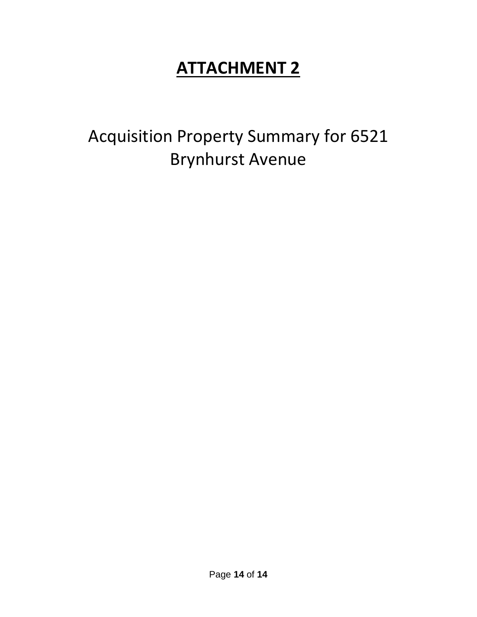# **ATTACHMENT 2**

Acquisition Property Summary for 6521 Brynhurst Avenue